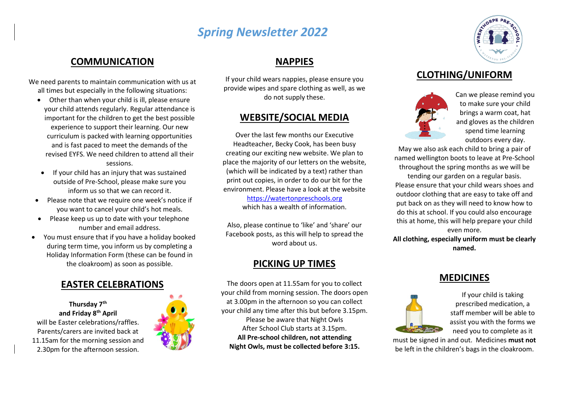# *Spring Newsletter 2022*

## **COMMUNICATION**

We need parents to maintain communication with us at all times but especially in the following situations:

- Other than when your child is ill, please ensure your child attends regularly. Regular attendance is important for the children to get the best possible experience to support their learning. Our new curriculum is packed with learning opportunities and is fast paced to meet the demands of the revised EYFS. We need children to attend all their sessions.
- If your child has an injury that was sustained outside of Pre-School, please make sure you inform us so that we can record it.
- Please note that we require one week's notice if you want to cancel your child's hot meals.
- Please keep us up to date with your telephone number and email address.
- You must ensure that if you have a holiday booked during term time, you inform us by completing a Holiday Information Form (these can be found in the cloakroom) as soon as possible.

#### **EASTER CELEBRATIONS**

**Thursday 7th and Friday 8th April** will be Easter celebrations/raffles. Parents/carers are invited back at 11.15am for the morning session and 2.30pm for the afternoon session.



# **NAPPIES**

If your child wears nappies, please ensure you provide wipes and spare clothing as well, as we do not supply these.

## **WEBSITE/SOCIAL MEDIA**

Over the last few months our Executive Headteacher, Becky Cook, has been busy creating our exciting new website. We plan to place the majority of our letters on the website, (which will be indicated by a text) rather than print out copies, in order to do our bit for the environment. Please have a look at the website

[https://watertonpreschools.org](https://watertonpreschools.org/)

which has a wealth of information.

Also, please continue to 'like' and 'share' our Facebook posts, as this will help to spread the word about us.

### **PICKING UP TIMES**

The doors open at 11.55am for you to collect your child from morning session. The doors open at 3.00pm in the afternoon so you can collect your child any time after this but before 3.15pm. Please be aware that Night Owls After School Club starts at 3.15pm. **All Pre-school children, not attending Night Owls, must be collected before 3:15.**



## **CLOTHING/UNIFORM**



Can we please remind you to make sure your child brings a warm coat, hat and gloves as the children spend time learning outdoors every day.

May we also ask each child to bring a pair of named wellington boots to leave at Pre-School throughout the spring months as we will be

tending our garden on a regular basis. Please ensure that your child wears shoes and outdoor clothing that are easy to take off and put back on as they will need to know how to do this at school. If you could also encourage this at home, this will help prepare your child even more.

**All clothing, especially uniform must be clearly named.**

### **MEDICINES**



If your child is taking prescribed medication, a staff member will be able to assist you with the forms we need you to complete as it

must be signed in and out. Medicines **must not** be left in the children's bags in the cloakroom.